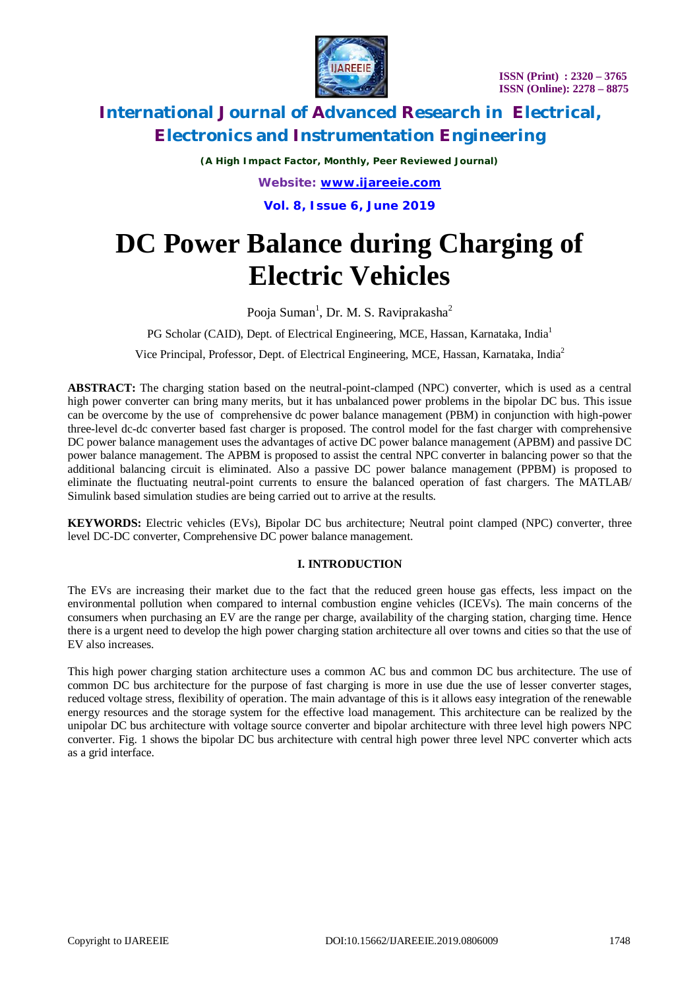

*(A High Impact Factor, Monthly, Peer Reviewed Journal) Website: [www.ijareeie.com](http://www.ijareeie.com)* **Vol. 8, Issue 6, June 2019**

# **DC Power Balance during Charging of Electric Vehicles**

Pooja Suman<sup>1</sup>, Dr. M. S. Raviprakasha<sup>2</sup>

PG Scholar (CAID), Dept. of Electrical Engineering, MCE, Hassan, Karnataka, India<sup>1</sup>

Vice Principal, Professor, Dept. of Electrical Engineering, MCE, Hassan, Karnataka, India<sup>2</sup>

**ABSTRACT:** The charging station based on the neutral-point-clamped (NPC) converter, which is used as a central high power converter can bring many merits, but it has unbalanced power problems in the bipolar DC bus. This issue can be overcome by the use of comprehensive dc power balance management (PBM) in conjunction with high-power three-level dc-dc converter based fast charger is proposed. The control model for the fast charger with comprehensive DC power balance management uses the advantages of active DC power balance management (APBM) and passive DC power balance management. The APBM is proposed to assist the central NPC converter in balancing power so that the additional balancing circuit is eliminated. Also a passive DC power balance management (PPBM) is proposed to eliminate the fluctuating neutral-point currents to ensure the balanced operation of fast chargers. The MATLAB/ Simulink based simulation studies are being carried out to arrive at the results.

**KEYWORDS:** Electric vehicles (EVs), Bipolar DC bus architecture; Neutral point clamped (NPC) converter, three level DC-DC converter, Comprehensive DC power balance management.

#### **I. INTRODUCTION**

The EVs are increasing their market due to the fact that the reduced green house gas effects, less impact on the environmental pollution when compared to internal combustion engine vehicles (ICEVs). The main concerns of the consumers when purchasing an EV are the range per charge, availability of the charging station, charging time. Hence there is a urgent need to develop the high power charging station architecture all over towns and cities so that the use of EV also increases.

This high power charging station architecture uses a common AC bus and common DC bus architecture. The use of common DC bus architecture for the purpose of fast charging is more in use due the use of lesser converter stages, reduced voltage stress, flexibility of operation. The main advantage of this is it allows easy integration of the renewable energy resources and the storage system for the effective load management. This architecture can be realized by the unipolar DC bus architecture with voltage source converter and bipolar architecture with three level high powers NPC converter. Fig. 1 shows the bipolar DC bus architecture with central high power three level NPC converter which acts as a grid interface.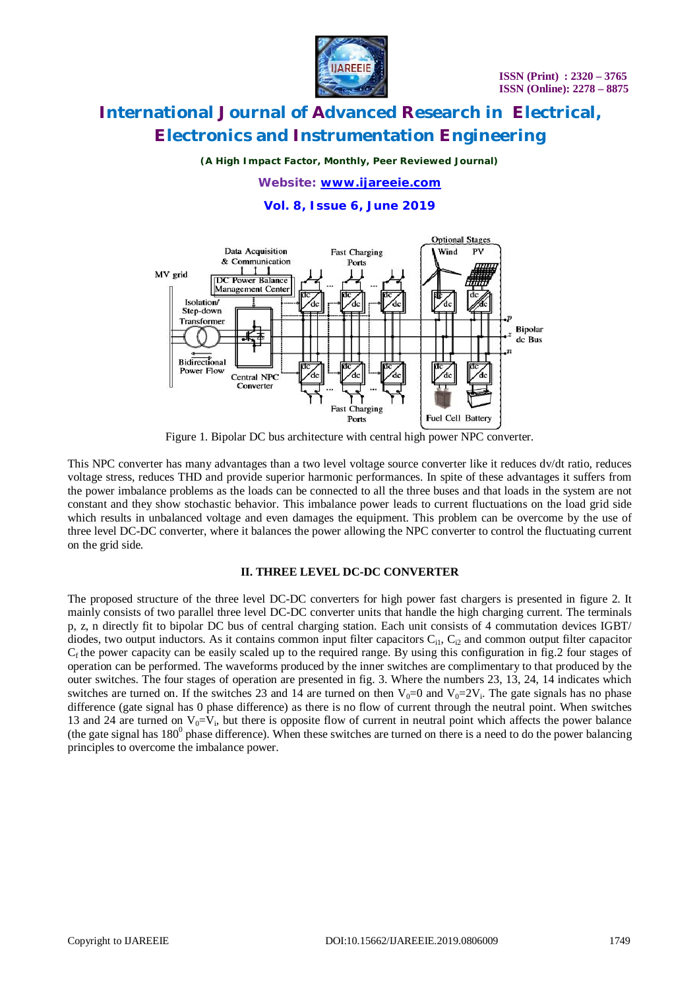

*(A High Impact Factor, Monthly, Peer Reviewed Journal)*

*Website: [www.ijareeie.com](http://www.ijareeie.com)*

**Vol. 8, Issue 6, June 2019**



Figure 1. Bipolar DC bus architecture with central high power NPC converter.

This NPC converter has many advantages than a two level voltage source converter like it reduces dv/dt ratio, reduces voltage stress, reduces THD and provide superior harmonic performances. In spite of these advantages it suffers from the power imbalance problems as the loads can be connected to all the three buses and that loads in the system are not constant and they show stochastic behavior. This imbalance power leads to current fluctuations on the load grid side which results in unbalanced voltage and even damages the equipment. This problem can be overcome by the use of three level DC-DC converter, where it balances the power allowing the NPC converter to control the fluctuating current on the grid side.

### **II. THREE LEVEL DC-DC CONVERTER**

The proposed structure of the three level DC-DC converters for high power fast chargers is presented in figure 2. It mainly consists of two parallel three level DC-DC converter units that handle the high charging current. The terminals p, z, n directly fit to bipolar DC bus of central charging station. Each unit consists of 4 commutation devices IGBT/ diodes, two output inductors. As it contains common input filter capacitors  $C_{11}$ ,  $C_{12}$  and common output filter capacitor  $C_f$  the power capacity can be easily scaled up to the required range. By using this configuration in fig. 2 four stages of operation can be performed. The waveforms produced by the inner switches are complimentary to that produced by the outer switches. The four stages of operation are presented in fig. 3. Where the numbers 23, 13, 24, 14 indicates which switches are turned on. If the switches 23 and 14 are turned on then  $V_0=0$  and  $V_0=2V_i$ . The gate signals has no phase difference (gate signal has 0 phase difference) as there is no flow of current through the neutral point. When switches 13 and 24 are turned on  $V_0=V_i$ , but there is opposite flow of current in neutral point which affects the power balance (the gate signal has  $180^{\circ}$  phase difference). When these switches are turned on there is a need to do the power balancing principles to overcome the imbalance power.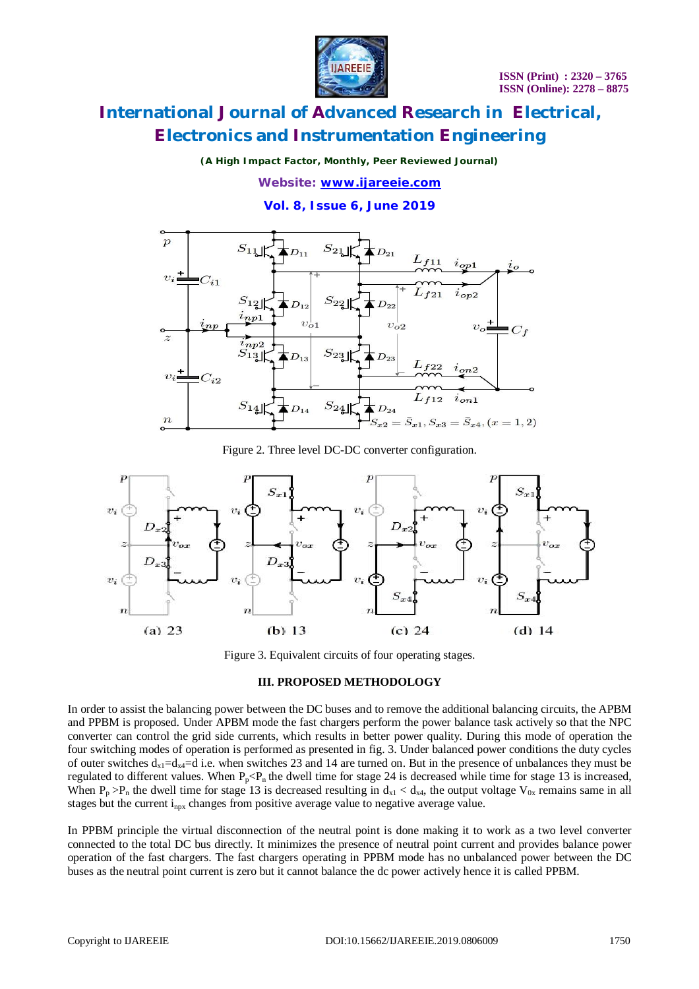

*(A High Impact Factor, Monthly, Peer Reviewed Journal)*

*Website: [www.ijareeie.com](http://www.ijareeie.com)*

**Vol. 8, Issue 6, June 2019**



Figure 2. Three level DC-DC converter configuration.



Figure 3. Equivalent circuits of four operating stages.

### **III. PROPOSED METHODOLOGY**

In order to assist the balancing power between the DC buses and to remove the additional balancing circuits, the APBM and PPBM is proposed. Under APBM mode the fast chargers perform the power balance task actively so that the NPC converter can control the grid side currents, which results in better power quality. During this mode of operation the four switching modes of operation is performed as presented in fig. 3. Under balanced power conditions the duty cycles of outer switches  $d_{x1}=d_{x4}=d$  i.e. when switches 23 and 14 are turned on. But in the presence of unbalances they must be regulated to different values. When  $P_p < P_n$  the dwell time for stage 24 is decreased while time for stage 13 is increased, When  $P_p > P_n$  the dwell time for stage 13 is decreased resulting in  $d_{x_1} < d_{x_2}$ , the output voltage  $V_{0x}$  remains same in all stages but the current  $i_{nnx}$  changes from positive average value to negative average value.

In PPBM principle the virtual disconnection of the neutral point is done making it to work as a two level converter connected to the total DC bus directly. It minimizes the presence of neutral point current and provides balance power operation of the fast chargers. The fast chargers operating in PPBM mode has no unbalanced power between the DC buses as the neutral point current is zero but it cannot balance the dc power actively hence it is called PPBM.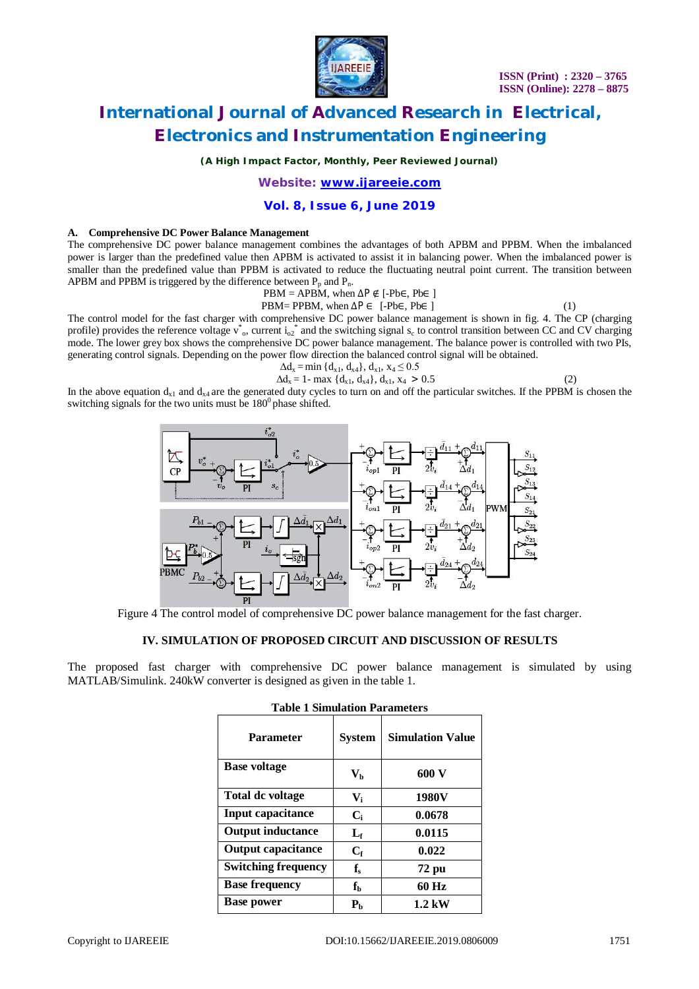

*(A High Impact Factor, Monthly, Peer Reviewed Journal)*

*Website: [www.ijareeie.com](http://www.ijareeie.com)*

#### **Vol. 8, Issue 6, June 2019**

#### **A. Comprehensive DC Power Balance Management**

The comprehensive DC power balance management combines the advantages of both APBM and PPBM. When the imbalanced power is larger than the predefined value then APBM is activated to assist it in balancing power. When the imbalanced power is smaller than the predefined value than PPBM is activated to reduce the fluctuating neutral point current. The transition between APBM and PPBM is triggered by the difference between  $P_p$  and  $P_p$ .

$$
PBM = APB\dot{M}, when \Delta P \notin [-Pb\in, Pb\in ]
$$

$$
(1)
$$

PBM= PPBM, when  $\Delta P \in [-Pb\epsilon, Pb\epsilon]$ The control model for the fast charger with comprehensive DC power balance management is shown in fig. 4. The CP (charging profile) provides the reference voltage  $v^*$ <sub>o</sub>, current  $i_0i^*$  and the switching signal s<sub>c</sub> to control transition between CC and CV charging mode. The lower grey box shows the comprehensive DC power balance management. The balance power is controlled with two PIs, generating control signals. Depending on the power flow direction the balanced control signal will be obtained.

$$
\Delta d_x = \min \{ d_{x1}, d_{x4} \}, d_{x1}, x_4 \le 0.5 \n\Delta d_x = 1 - \max \{ d_{x1}, d_{x4} \}, d_{x1}, x_4 > 0.5
$$
\n(2)

In the above equation  $d_{x1}$  and  $d_{x4}$  are the generated duty cycles to turn on and off the particular switches. If the PPBM is chosen the switching signals for the two units must be  $180^0$  phase shifted.



Figure 4 The control model of comprehensive DC power balance management for the fast charger.

### **IV. SIMULATION OF PROPOSED CIRCUIT AND DISCUSSION OF RESULTS**

The proposed fast charger with comprehensive DC power balance management is simulated by using MATLAB/Simulink. 240kW converter is designed as given in the table 1.

| тамге т минаналми тап ашелеги |                         |                         |
|-------------------------------|-------------------------|-------------------------|
| <b>Parameter</b>              | <b>System</b>           | <b>Simulation Value</b> |
| <b>Base voltage</b>           | $V_{b}$                 | 600 V                   |
| <b>Total dc voltage</b>       | $V_i$                   | 1980V                   |
| <b>Input capacitance</b>      | $C_i$                   | 0.0678                  |
| <b>Output inductance</b>      | $L_{\rm f}$             | 0.0115                  |
| <b>Output capacitance</b>     | $C_{\rm f}$             | 0.022                   |
| <b>Switching frequency</b>    | $f_{\rm s}$             | 72 pu                   |
| <b>Base frequency</b>         | $\mathbf{f}_\mathbf{b}$ | 60 Hz                   |
| <b>Base power</b>             | P <sub>b</sub>          | 1.2 kW                  |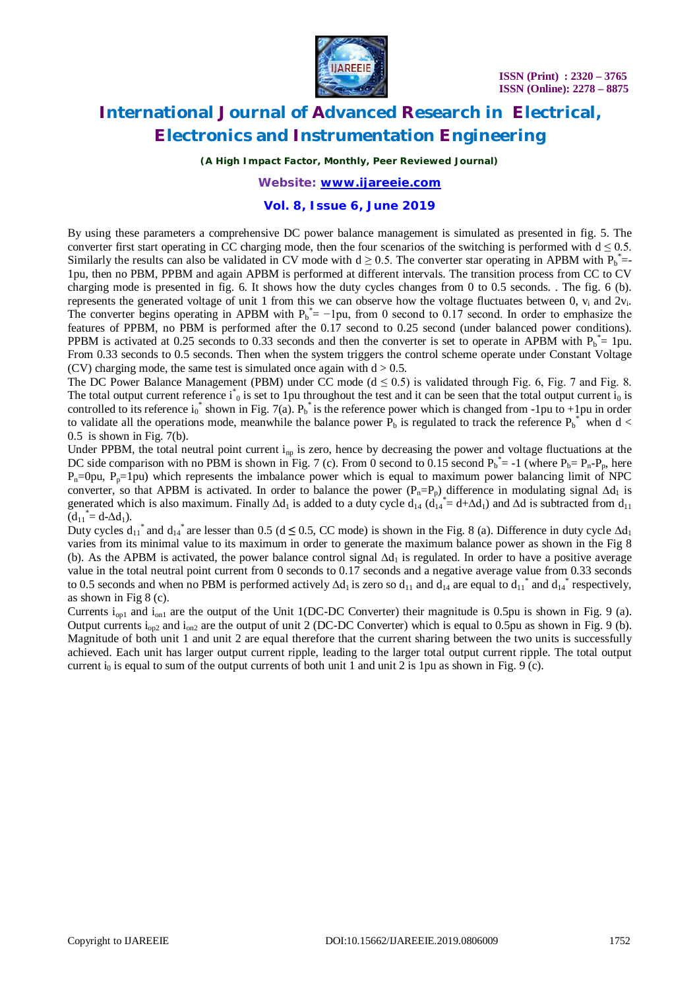

*(A High Impact Factor, Monthly, Peer Reviewed Journal)*

### *Website: [www.ijareeie.com](http://www.ijareeie.com)*

#### **Vol. 8, Issue 6, June 2019**

By using these parameters a comprehensive DC power balance management is simulated as presented in fig. 5. The converter first start operating in CC charging mode, then the four scenarios of the switching is performed with  $d \le 0.5$ . Similarly the results can also be validated in CV mode with  $d \ge 0.5$ . The converter star operating in APBM with  $P_b^*$ = 1pu, then no PBM, PPBM and again APBM is performed at different intervals. The transition process from CC to CV charging mode is presented in fig. 6. It shows how the duty cycles changes from 0 to 0.5 seconds. . The fig. 6 (b). represents the generated voltage of unit 1 from this we can observe how the voltage fluctuates between 0,  $v_i$  and  $2v_i$ . The converter begins operating in APBM with  $P_b^* = -1$ pu, from 0 second to 0.17 second. In order to emphasize the features of PPBM, no PBM is performed after the 0.17 second to 0.25 second (under balanced power conditions). PPBM is activated at 0.25 seconds to 0.33 seconds and then the converter is set to operate in APBM with  $P_b^* = 1$ pu. From 0.33 seconds to 0.5 seconds. Then when the system triggers the control scheme operate under Constant Voltage (CV) charging mode, the same test is simulated once again with  $d > 0.5$ .

The DC Power Balance Management (PBM) under CC mode  $(d \le 0.5)$  is validated through Fig. 6, Fig. 7 and Fig. 8. The total output current reference  $i_0$  is set to 1pu throughout the test and it can be seen that the total output current  $i_0$  is controlled to its reference  $i_0^*$  shown in Fig. 7(a).  $P_b^*$  is the reference power which is changed from -1pu to +1pu in order to validate all the operations mode, meanwhile the balance power  $P_b$  is regulated to track the reference  $P_b^*$  when d <  $0.5$  is shown in Fig. 7(b).

Under PPBM, the total neutral point current  $i_{np}$  is zero, hence by decreasing the power and voltage fluctuations at the DC side comparison with no PBM is shown in Fig. 7 (c). From 0 second to 0.15 second  $P_b^* = -1$  (where  $P_b = P_n - P_p$ , here  $P_n=0$ pu,  $P_p=1$ pu) which represents the imbalance power which is equal to maximum power balancing limit of NPC converter, so that APBM is activated. In order to balance the power ( $P_n = P_p$ ) difference in modulating signal  $\Delta d_1$  is generated which is also maximum. Finally  $\Delta d_1$  is added to a duty cycle  $d_{14}$  ( $d_{14}^* = d + \Delta d_1$ ) and  $\Delta d$  is subtracted from  $d_{11}$  $(d_{11}^* = d - \Delta d_1).$ 

Duty cycles  $d_{11}$ <sup>\*</sup> and  $d_{14}$ <sup>\*</sup> are lesser than 0.5 (d ≤ 0.5, CC mode) is shown in the Fig. 8 (a). Difference in duty cycle  $\Delta d_1$ varies from its minimal value to its maximum in order to generate the maximum balance power as shown in the Fig 8 (b). As the APBM is activated, the power balance control signal  $\Delta d_1$  is regulated. In order to have a positive average value in the total neutral point current from 0 seconds to 0.17 seconds and a negative average value from 0.33 seconds to 0.5 seconds and when no PBM is performed actively  $\Delta d_1$  is zero so  $d_{11}$  and  $d_{14}$  are equal to  $d_{11}^*$  and  $d_{14}^*$  respectively, as shown in Fig 8 (c).

Currents  $i_{\text{on}1}$  and  $i_{\text{on}1}$  are the output of the Unit 1(DC-DC Converter) their magnitude is 0.5pu is shown in Fig. 9 (a). Output currents  $i_{\text{on}2}$  and  $i_{\text{on}2}$  are the output of unit 2 (DC-DC Converter) which is equal to 0.5pu as shown in Fig. 9 (b). Magnitude of both unit 1 and unit 2 are equal therefore that the current sharing between the two units is successfully achieved. Each unit has larger output current ripple, leading to the larger total output current ripple. The total output current  $i_0$  is equal to sum of the output currents of both unit 1 and unit 2 is 1pu as shown in Fig. 9 (c).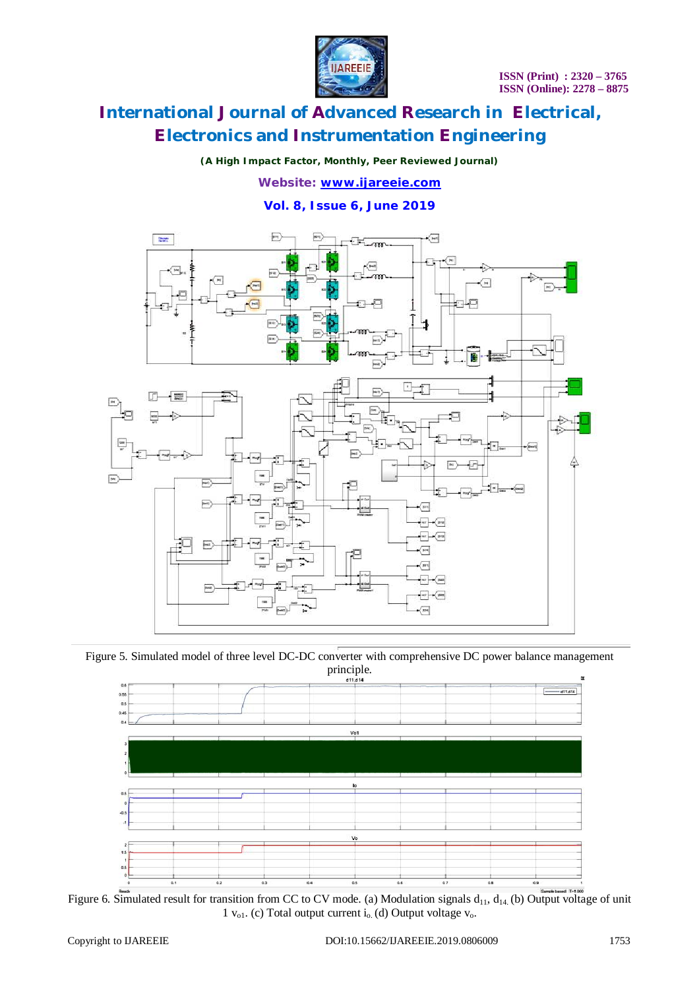

### *(A High Impact Factor, Monthly, Peer Reviewed Journal)*

*Website: [www.ijareeie.com](http://www.ijareeie.com)*

**Vol. 8, Issue 6, June 2019**



Figure 5. Simulated model of three level DC-DC converter with comprehensive DC power balance management principle.



Figure 6. Simulated result for transition from CC to CV mode. (a) Modulation signals  $d_{11}$ ,  $d_{14}$  (b) Output voltage of unit 1  $v_{o1}$ . (c) Total output current i<sub>o.</sub> (d) Output voltage  $v_{o}$ .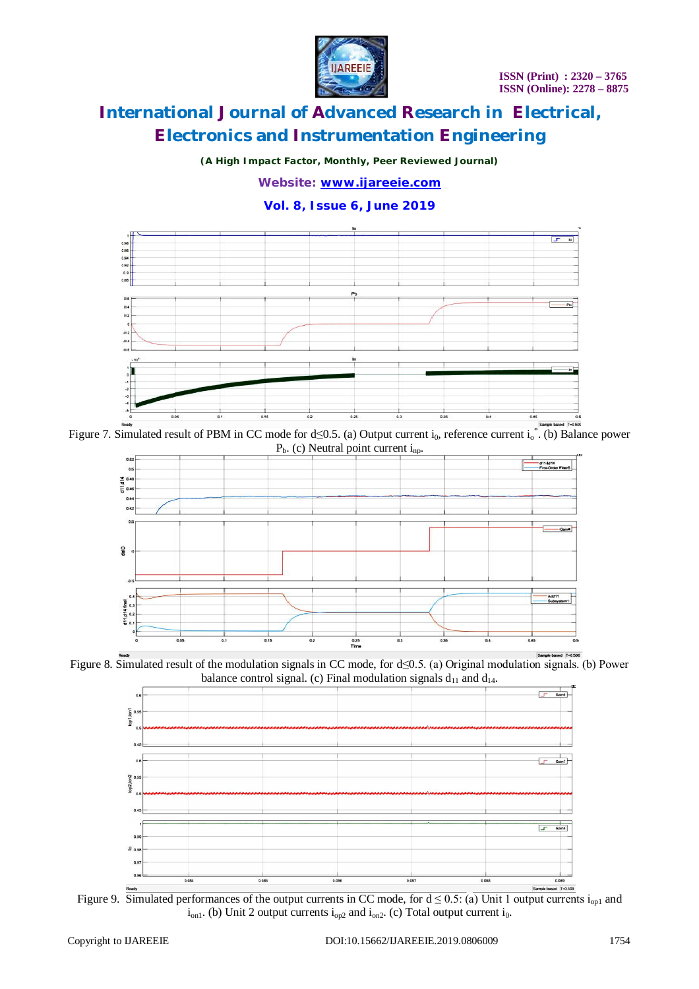

*(A High Impact Factor, Monthly, Peer Reviewed Journal)*

*Website: [www.ijareeie.com](http://www.ijareeie.com)*

**Vol. 8, Issue 6, June 2019**



Figure 7. Simulated result of PBM in CC mode for  $d \le 0.5$ . (a) Output current i<sub>0</sub>, reference current i<sub>0</sub><sup>\*</sup>. (b) Balance power  $P_b$ . (c) Neutral point current i<sub>np</sub>.



Figure 8. Simulated result of the modulation signals in CC mode, for d≤0.5. (a) Original modulation signals. (b) Power balance control signal. (c) Final modulation signals  $d_{11}$  and  $d_{14}$ .



Figure 9. Simulated performances of the output currents in CC mode, for  $d \le 0.5$ : (a) Unit 1 output currents i<sub>op1</sub> and  $i_{on1}$ . (b) Unit 2 output currents  $i_{on2}$  and  $i_{on2}$ . (c) Total output current  $i_0$ .